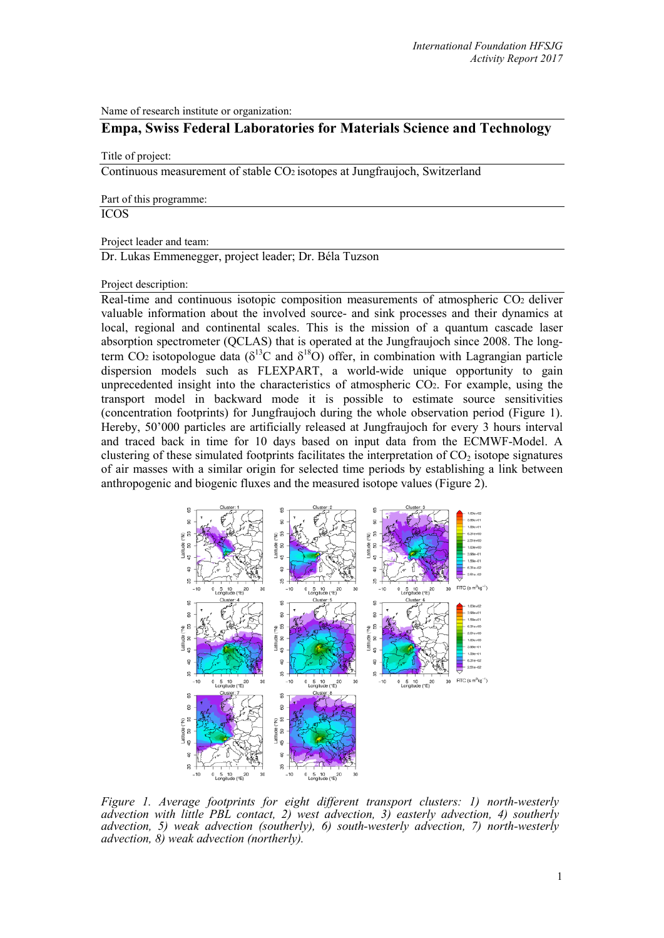Name of research institute or organization:

## **Empa, Swiss Federal Laboratories for Materials Science and Technology**

## Title of project:

Continuous measurement of stable CO2 isotopes at Jungfraujoch, Switzerland

Part of this programme:

ICOS

Project leader and team:

Dr. Lukas Emmenegger, project leader; Dr. Béla Tuzson

Project description:

Real-time and continuous isotopic composition measurements of atmospheric CO2 deliver valuable information about the involved source- and sink processes and their dynamics at local, regional and continental scales. This is the mission of a quantum cascade laser absorption spectrometer (QCLAS) that is operated at the Jungfraujoch since 2008. The longterm CO<sub>2</sub> isotopologue data ( $\delta^{13}$ C and  $\delta^{18}$ O) offer, in combination with Lagrangian particle dispersion models such as FLEXPART, a world-wide unique opportunity to gain unprecedented insight into the characteristics of atmospheric CO2. For example, using the transport model in backward mode it is possible to estimate source sensitivities (concentration footprints) for Jungfraujoch during the whole observation period (Figure 1). Hereby, 50'000 particles are artificially released at Jungfraujoch for every 3 hours interval and traced back in time for 10 days based on input data from the ECMWF-Model. A clustering of these simulated footprints facilitates the interpretation of  $CO<sub>2</sub>$  isotope signatures of air masses with a similar origin for selected time periods by establishing a link between anthropogenic and biogenic fluxes and the measured isotope values (Figure 2).



*Figure 1. Average footprints for eight different transport clusters: 1) north-westerly advection with little PBL contact, 2) west advection, 3) easterly advection, 4) southerly advection, 5) weak advection (southerly), 6) south-westerly advection, 7) north-westerly advection, 8) weak advection (northerly).*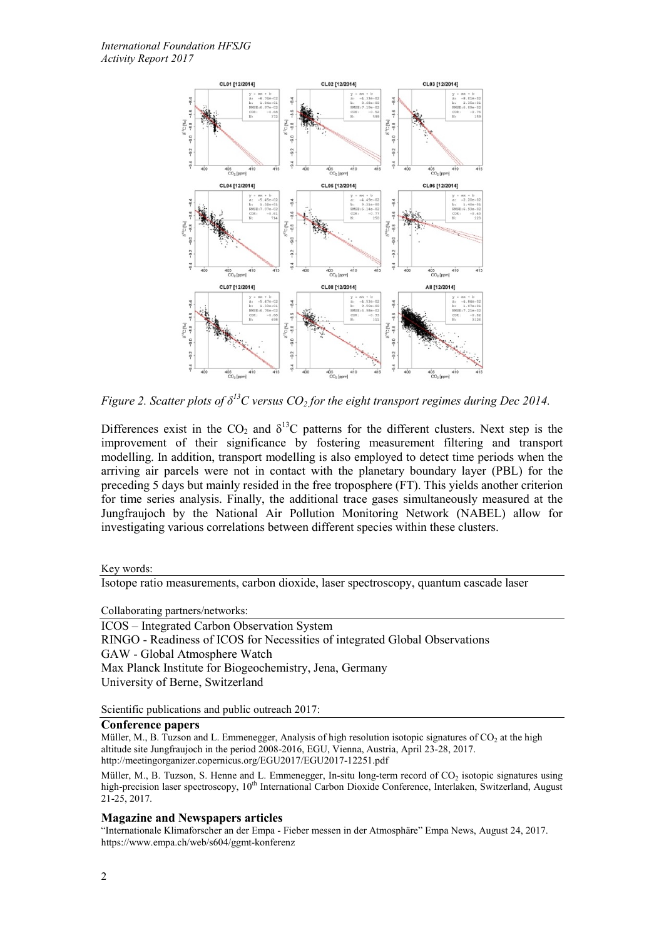

*Figure 2. Scatter plots of*  $\delta^{13}C$  versus  $CO_2$  for the eight transport regimes during Dec 2014.

Differences exist in the  $CO_2$  and  $\delta^{13}C$  patterns for the different clusters. Next step is the improvement of their significance by fostering measurement filtering and transport modelling. In addition, transport modelling is also employed to detect time periods when the arriving air parcels were not in contact with the planetary boundary layer (PBL) for the preceding 5 days but mainly resided in the free troposphere (FT). This yields another criterion for time series analysis. Finally, the additional trace gases simultaneously measured at the Jungfraujoch by the National Air Pollution Monitoring Network (NABEL) allow for investigating various correlations between different species within these clusters.

Key words:

Isotope ratio measurements, carbon dioxide, laser spectroscopy, quantum cascade laser

Collaborating partners/networks:

ICOS – Integrated Carbon Observation System RINGO - Readiness of ICOS for Necessities of integrated Global Observations GAW - Global Atmosphere Watch Max Planck Institute for Biogeochemistry, Jena, Germany University of Berne, Switzerland

Scientific publications and public outreach 2017:

## **Conference papers**

Müller, M., B. Tuzson and L. Emmenegger, Analysis of high resolution isotopic signatures of  $CO<sub>2</sub>$  at the high altitude site Jungfraujoch in the period 2008-2016, EGU, Vienna, Austria, April 23-28, 2017. http://meetingorganizer.copernicus.org/EGU2017/EGU2017-12251.pdf

Müller, M., B. Tuzson, S. Henne and L. Emmenegger, In-situ long-term record of CO<sub>2</sub> isotopic signatures using high-precision laser spectroscopy, 10<sup>th</sup> International Carbon Dioxide Conference, Interlaken, Switzerland, August 21-25, 2017.

## **Magazine and Newspapers articles**

"Internationale Klimaforscher an der Empa - Fieber messen in der Atmosphäre" Empa News, August 24, 2017. https://www.empa.ch/web/s604/ggmt-konferenz